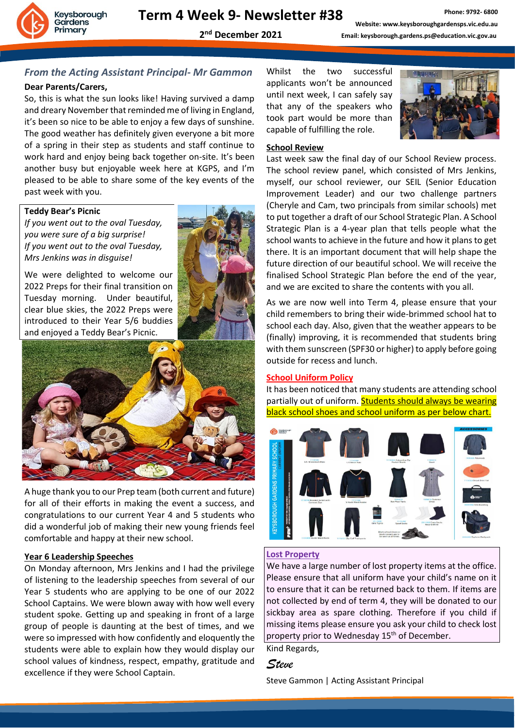

### *From the Acting Assistant Principal- Mr Gammon*

#### **Dear Parents/Carers,**

So, this is what the sun looks like! Having survived a damp and dreary November that reminded me of living in England, it's been so nice to be able to enjoy a few days of sunshine. The good weather has definitely given everyone a bit more of a spring in their step as students and staff continue to work hard and enjoy being back together on-site. It's been another busy but enjoyable week here at KGPS, and I'm pleased to be able to share some of the key events of the past week with you.

#### **Teddy Bear's Picnic**

*If you went out to the oval Tuesday, you were sure of a big surprise! If you went out to the oval Tuesday, Mrs Jenkins was in disguise!*

We were delighted to welcome our 2022 Preps for their final transition on Tuesday morning. Under beautiful, clear blue skies, the 2022 Preps were introduced to their Year 5/6 buddies and enjoyed a Teddy Bear's Picnic.



A huge thank you to our Prep team (both current and future) for all of their efforts in making the event a success, and congratulations to our current Year 4 and 5 students who did a wonderful job of making their new young friends feel comfortable and happy at their new school.

#### **Year 6 Leadership Speeches**

On Monday afternoon, Mrs Jenkins and I had the privilege of listening to the leadership speeches from several of our Year 5 students who are applying to be one of our 2022 School Captains. We were blown away with how well every student spoke. Getting up and speaking in front of a large group of people is daunting at the best of times, and we were so impressed with how confidently and eloquently the students were able to explain how they would display our school values of kindness, respect, empathy, gratitude and excellence if they were School Captain.

Whilst the two successful applicants won't be announced until next week, I can safely say that any of the speakers who took part would be more than capable of fulfilling the role.



#### **School Review**

Last week saw the final day of our School Review process. The school review panel, which consisted of Mrs Jenkins, myself, our school reviewer, our SEIL (Senior Education Improvement Leader) and our two challenge partners (Cheryle and Cam, two principals from similar schools) met to put together a draft of our School Strategic Plan. A School Strategic Plan is a 4-year plan that tells people what the school wants to achieve in the future and how it plans to get there. It is an important document that will help shape the future direction of our beautiful school. We will receive the finalised School Strategic Plan before the end of the year, and we are excited to share the contents with you all.

As we are now well into Term 4, please ensure that your child remembers to bring their wide-brimmed school hat to school each day. Also, given that the weather appears to be (finally) improving, it is recommended that students bring with them sunscreen (SPF30 or higher) to apply before going outside for recess and lunch.

#### **School Uniform Policy**

It has been noticed that many students are attending school partially out of uniform. Students should always be wearing black school shoes and school uniform as per below chart.



#### **Lost Property**

We have a large number of lost property items at the office. Please ensure that all uniform have your child's name on it to ensure that it can be returned back to them. If items are not collected by end of term 4, they will be donated to our sickbay area as spare clothing. Therefore if you child if missing items please ensure you ask your child to check lost property prior to Wednesday 15<sup>th</sup> of December.

Kind Regards,

#### *Steve*

Steve Gammon | Acting Assistant Principal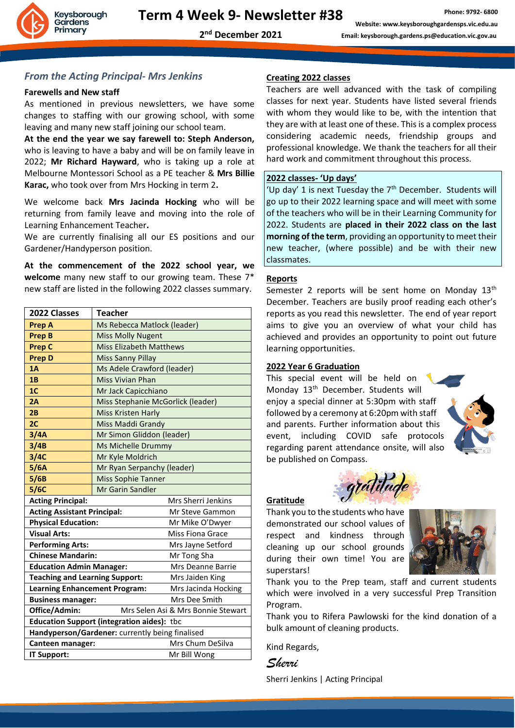

#### *From the Acting Principal- Mrs Jenkins*

#### **Farewells and New staff**

As mentioned in previous newsletters, we have some changes to staffing with our growing school, with some leaving and many new staff joining our school team.

**At the end the year we say farewell to: Steph Anderson,**  who is leaving to have a baby and will be on family leave in 2022; **Mr Richard Hayward**, who is taking up a role at Melbourne Montessori School as a PE teacher & **Mrs Billie Karac,** who took over from Mrs Hocking in term 2**.** 

We welcome back **Mrs Jacinda Hocking** who will be returning from family leave and moving into the role of Learning Enhancement Teacher**.** 

We are currently finalising all our ES positions and our Gardener/Handyperson position.

**At the commencement of the 2022 school year, we welcome** many new staff to our growing team. These 7\* new staff are listed in the following 2022 classes summary.

| 2022 Classes                                                | <b>Teacher</b>                    |  |  |
|-------------------------------------------------------------|-----------------------------------|--|--|
| <b>Prep A</b>                                               | Ms Rebecca Matlock (leader)       |  |  |
| <b>Prep B</b>                                               | <b>Miss Molly Nugent</b>          |  |  |
| <b>Prep C</b>                                               | <b>Miss Elizabeth Matthews</b>    |  |  |
| <b>Prep D</b>                                               | <b>Miss Sanny Pillay</b>          |  |  |
| 1A                                                          | Ms Adele Crawford (leader)        |  |  |
| 1B                                                          | <b>Miss Vivian Phan</b>           |  |  |
| 1 <sub>C</sub>                                              | Mr Jack Capicchiano               |  |  |
| 2A                                                          | Miss Stephanie McGorlick (leader) |  |  |
| 2B                                                          | <b>Miss Kristen Harly</b>         |  |  |
| 2 <sub>C</sub>                                              | Miss Maddi Grandy                 |  |  |
| 3/4A                                                        | Mr Simon Gliddon (leader)         |  |  |
| 3/4B                                                        | Ms Michelle Drummy                |  |  |
| 3/4C                                                        | Mr Kyle Moldrich                  |  |  |
| 5/6A                                                        | Mr Ryan Serpanchy (leader)        |  |  |
| 5/6B                                                        | <b>Miss Sophie Tanner</b>         |  |  |
| 5/6C                                                        | <b>Mr Garin Sandler</b>           |  |  |
| <b>Acting Principal:</b>                                    | Mrs Sherri Jenkins                |  |  |
| <b>Acting Assistant Principal:</b>                          | Mr Steve Gammon                   |  |  |
| <b>Physical Education:</b>                                  | Mr Mike O'Dwyer                   |  |  |
| <b>Visual Arts:</b>                                         | <b>Miss Fiona Grace</b>           |  |  |
| <b>Performing Arts:</b>                                     | Mrs Jayne Setford                 |  |  |
| <b>Chinese Mandarin:</b><br>Mr Tong Sha                     |                                   |  |  |
| <b>Education Admin Manager:</b><br>Mrs Deanne Barrie        |                                   |  |  |
| <b>Teaching and Learning Support:</b><br>Mrs Jaiden King    |                                   |  |  |
| <b>Learning Enhancement Program:</b><br>Mrs Jacinda Hocking |                                   |  |  |
| Mrs Dee Smith<br><b>Business manager:</b>                   |                                   |  |  |
| Office/Admin:<br>Mrs Selen Asi & Mrs Bonnie Stewart         |                                   |  |  |
| <b>Education Support (integration aides): tbc</b>           |                                   |  |  |
| Handyperson/Gardener: currently being finalised             |                                   |  |  |
| Mrs Chum DeSilva<br>Canteen manager:                        |                                   |  |  |
| IT Support:<br>Mr Bill Wong                                 |                                   |  |  |

#### **Creating 2022 classes**

Teachers are well advanced with the task of compiling classes for next year. Students have listed several friends with whom they would like to be, with the intention that they are with at least one of these. This is a complex process considering academic needs, friendship groups and professional knowledge. We thank the teachers for all their hard work and commitment throughout this process.

#### **2022 classes- 'Up days'**

'Up day' 1 is next Tuesday the  $7<sup>th</sup>$  December. Students will go up to their 2022 learning space and will meet with some of the teachers who will be in their Learning Community for 2022. Students are **placed in their 2022 class on the last morning of the term**, providing an opportunity to meet their new teacher, (where possible) and be with their new classmates.

#### **Reports**

Semester 2 reports will be sent home on Monday 13<sup>th</sup> December. Teachers are busily proof reading each other's reports as you read this newsletter. The end of year report aims to give you an overview of what your child has achieved and provides an opportunity to point out future learning opportunities.

#### **2022 Year 6 Graduation**

This special event will be held on Monday 13<sup>th</sup> December. Students will enjoy a special dinner at 5:30pm with staff followed by a ceremony at 6:20pm with staff and parents. Further information about this event, including COVID safe protocols regarding parent attendance onsite, will also be published on Compass.



## gratitude

Thank you to the students who have demonstrated our school values of respect and kindness through cleaning up our school grounds during their own time! You are superstars!



Thank you to the Prep team, staff and current students which were involved in a very successful Prep Transition Program.

Thank you to Rifera Pawlowski for the kind donation of a bulk amount of cleaning products.

Kind Regards,

**Gratitude**

*Sherri*

Sherri Jenkins | Acting Principal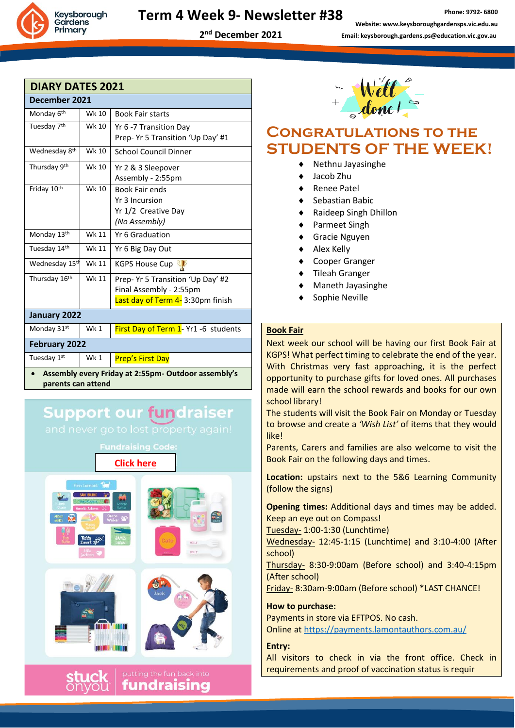Keysborough Gardens Primary

#### **Term 4 Week 9- Newsletter #38**

**2 nd December 2021**

**Phone: 9792- 6800 Website: www.keysboroughgardensps.vic.edu.au Email: keysborough.gardens.ps@education.vic.gov.au**

| <b>DIARY DATES 2021</b>                                                   |       |                                      |  |
|---------------------------------------------------------------------------|-------|--------------------------------------|--|
| December 2021                                                             |       |                                      |  |
| Monday 6 <sup>th</sup>                                                    | Wk 10 | <b>Book Fair starts</b>              |  |
| Tuesday 7 <sup>th</sup>                                                   | Wk 10 | Yr 6 -7 Transition Day               |  |
|                                                                           |       | Prep- Yr 5 Transition 'Up Day' #1    |  |
| Wednesday 8 <sup>th</sup>                                                 | Wk 10 | <b>School Council Dinner</b>         |  |
| Thursday 9th                                                              | Wk 10 | Yr 2 & 3 Sleepover                   |  |
|                                                                           |       | Assembly - 2:55pm                    |  |
| Friday 10th                                                               | Wk 10 | <b>Book Fair ends</b>                |  |
|                                                                           |       | Yr 3 Incursion                       |  |
|                                                                           |       | Yr 1/2 Creative Day                  |  |
|                                                                           |       | (No Assembly)                        |  |
| Monday 13th                                                               | Wk 11 | Yr 6 Graduation                      |  |
| Tuesday 14th                                                              | Wk 11 | Yr 6 Big Day Out                     |  |
| Wednesday 15 <sup>th</sup>                                                | Wk 11 | <b>KGPS House Cup</b>                |  |
| Thursday 16th                                                             | Wk 11 | Prep- Yr 5 Transition 'Up Day' #2    |  |
|                                                                           |       | Final Assembly - 2:55pm              |  |
|                                                                           |       | Last day of Term 4-3:30pm finish     |  |
| January 2022                                                              |       |                                      |  |
| Monday 31st                                                               | Wk 1  | First Day of Term 1- Yr1 -6 students |  |
| <b>February 2022</b>                                                      |       |                                      |  |
| Tuesday 1st                                                               | Wk 1  | Prep's First Day                     |  |
| Assembly every Friday at 2:55pm- Outdoor assembly's<br>parents can attend |       |                                      |  |

## **Support our fundraiser**

and never go to lost property again!

**[Click](https://www.stuckonyou.com.au/affiliate/fundraiser/KGPS) here**





## **Congratulations to the STUDENTS OF THE WEEK!**

- Nethnu Jayasinghe
- Jacob Zhu
- Renee Patel
- Sebastian Babic
- Raideep Singh Dhillon
- Parmeet Singh
- Gracie Nguyen
- Alex Kelly
- Cooper Granger
- Tileah Granger
- Maneth Jayasinghe
- Sophie Neville

#### **Book Fair**

Next week our school will be having our first Book Fair at KGPS! What perfect timing to celebrate the end of the year. With Christmas very fast approaching, it is the perfect opportunity to purchase gifts for loved ones. All purchases made will earn the school rewards and books for our own school library!

The students will visit the Book Fair on Monday or Tuesday to browse and create a *'Wish List'* of items that they would like!

Parents, Carers and families are also welcome to visit the Book Fair on the following days and times.

**Location:** upstairs next to the 5&6 Learning Community (follow the signs)

**Opening times:** Additional days and times may be added. Keep an eye out on Compass!

Tuesday- 1:00-1:30 (Lunchtime)

Wednesday- 12:45-1:15 (Lunchtime) and 3:10-4:00 (After school)

Thursday- 8:30-9:00am (Before school) and 3:40-4:15pm (After school)

Friday- 8:30am-9:00am (Before school) \*LAST CHANCE!

**How to purchase:** Payments in store via EFTPOS. No cash.

Online a[t https://payments.lamontauthors.com.au/](https://aus01.safelinks.protection.outlook.com/?url=https%3A%2F%2Fpayments.lamontauthors.com.au%2F&data=04%7C01%7CSelen.Asi%40education.vic.gov.au%7Cbf8287cf285c4adad32908d9b489df07%7Cd96cb3371a8744cfb69b3cec334a4c1f%7C0%7C0%7C637739326548514741%7CUnknown%7CTWFpbGZsb3d8eyJWIjoiMC4wLjAwMDAiLCJQIjoiV2luMzIiLCJBTiI6Ik1haWwiLCJXVCI6Mn0%3D%7C3000&sdata=7xHu2KPJapIIQnPbYEKaWR8VGzMF%2BcEvkYIshUFP6gg%3D&reserved=0)

#### **Entry:**

All visitors to check in via the front office. Check in requirements and proof of vaccination status is requir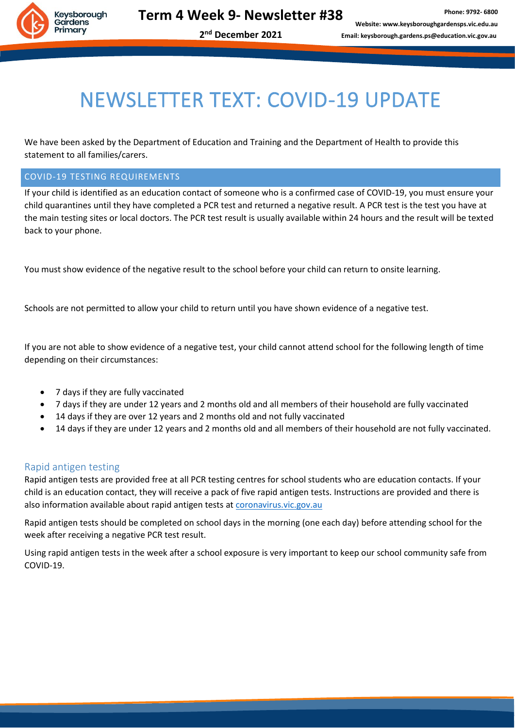

**2 nd December 2021**

## NEWSLETTER TEXT: COVID-19 UPDATE

We have been asked by the Department of Education and Training and the Department of Health to provide this statement to all families/carers.

#### COVID-19 TESTING REQUIREMENTS

If your child is identified as an education contact of someone who is a confirmed case of COVID-19, you must ensure your child quarantines until they have completed a PCR test and returned a negative result. A PCR test is the test you have at the main testing sites or local doctors. The PCR test result is usually available within 24 hours and the result will be texted back to your phone.

You must show evidence of the negative result to the school before your child can return to onsite learning.

Schools are not permitted to allow your child to return until you have shown evidence of a negative test.

If you are not able to show evidence of a negative test, your child cannot attend school for the following length of time depending on their circumstances:

- 7 days if they are fully vaccinated
- 7 days if they are under 12 years and 2 months old and all members of their household are fully vaccinated
- 14 days if they are over 12 years and 2 months old and not fully vaccinated
- 14 days if they are under 12 years and 2 months old and all members of their household are not fully vaccinated.

#### Rapid antigen testing

Rapid antigen tests are provided free at all PCR testing centres for school students who are education contacts. If your child is an education contact, they will receive a pack of five rapid antigen tests. Instructions are provided and there is also information available about rapid antigen tests a[t coronavirus.vic.gov.au](https://www.coronavirus.vic.gov.au/rapid-antigen-testing-schools)

Rapid antigen tests should be completed on school days in the morning (one each day) before attending school for the week after receiving a negative PCR test result.

Using rapid antigen tests in the week after a school exposure is very important to keep our school community safe from COVID-19.